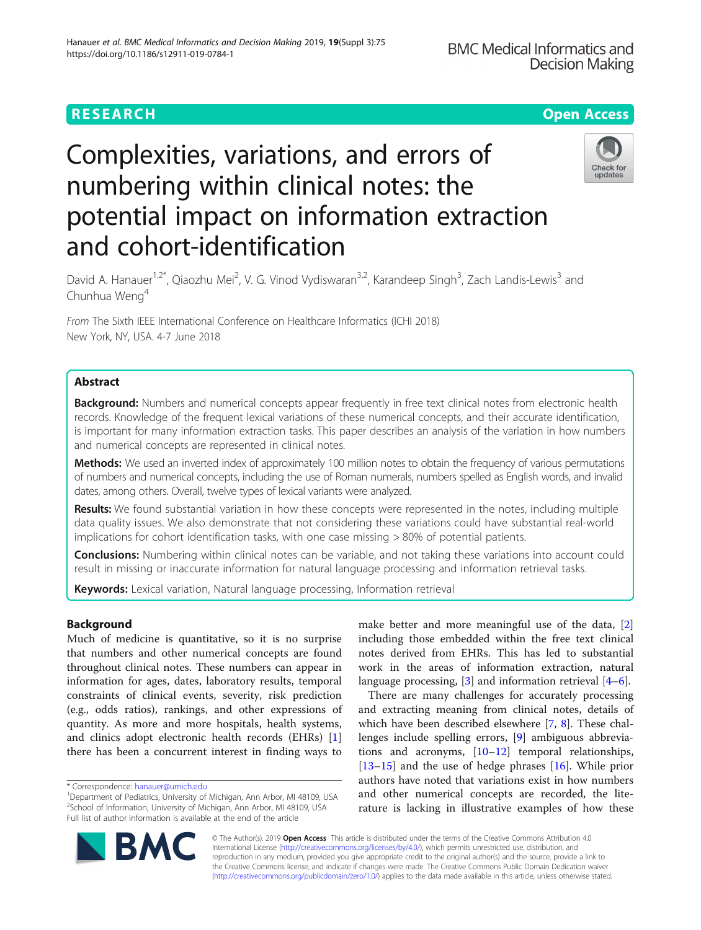# **RESEARCH CHE Open Access**

# Complexities, variations, and errors of numbering within clinical notes: the potential impact on information extraction and cohort-identification



David A. Hanauer<sup>1,2\*</sup>, Qiaozhu Mei<sup>2</sup>, V. G. Vinod Vydiswaran<sup>3,2</sup>, Karandeep Singh<sup>3</sup>, Zach Landis-Lewis<sup>3</sup> and Chunhua Weng<sup>4</sup>

From The Sixth IEEE International Conference on Healthcare Informatics (ICHI 2018) New York, NY, USA. 4-7 June 2018

# Abstract

Background: Numbers and numerical concepts appear frequently in free text clinical notes from electronic health records. Knowledge of the frequent lexical variations of these numerical concepts, and their accurate identification, is important for many information extraction tasks. This paper describes an analysis of the variation in how numbers and numerical concepts are represented in clinical notes.

Methods: We used an inverted index of approximately 100 million notes to obtain the frequency of various permutations of numbers and numerical concepts, including the use of Roman numerals, numbers spelled as English words, and invalid dates, among others. Overall, twelve types of lexical variants were analyzed.

Results: We found substantial variation in how these concepts were represented in the notes, including multiple data quality issues. We also demonstrate that not considering these variations could have substantial real-world implications for cohort identification tasks, with one case missing > 80% of potential patients.

**Conclusions:** Numbering within clinical notes can be variable, and not taking these variations into account could result in missing or inaccurate information for natural language processing and information retrieval tasks.

Keywords: Lexical variation, Natural language processing, Information retrieval

# Background

Much of medicine is quantitative, so it is no surprise that numbers and other numerical concepts are found throughout clinical notes. These numbers can appear in information for ages, dates, laboratory results, temporal constraints of clinical events, severity, risk prediction (e.g., odds ratios), rankings, and other expressions of quantity. As more and more hospitals, health systems, and clinics adopt electronic health records (EHRs) [\[1](#page-9-0)] there has been a concurrent interest in finding ways to

make better and more meaningful use of the data, [\[2](#page-9-0)] including those embedded within the free text clinical notes derived from EHRs. This has led to substantial work in the areas of information extraction, natural language processing, [\[3\]](#page-10-0) and information retrieval [[4](#page-10-0)–[6\]](#page-10-0).

There are many challenges for accurately processing and extracting meaning from clinical notes, details of which have been described elsewhere [\[7](#page-10-0), [8\]](#page-10-0). These challenges include spelling errors, [\[9\]](#page-10-0) ambiguous abbreviations and acronyms,  $[10-12]$  $[10-12]$  $[10-12]$  temporal relationships, [[13](#page-10-0)–[15](#page-10-0)] and the use of hedge phrases [[16\]](#page-10-0). While prior authors have noted that variations exist in how numbers and other numerical concepts are recorded, the literature is lacking in illustrative examples of how these



© The Author(s). 2019 **Open Access** This article is distributed under the terms of the Creative Commons Attribution 4.0 International License [\(http://creativecommons.org/licenses/by/4.0/](http://creativecommons.org/licenses/by/4.0/)), which permits unrestricted use, distribution, and reproduction in any medium, provided you give appropriate credit to the original author(s) and the source, provide a link to the Creative Commons license, and indicate if changes were made. The Creative Commons Public Domain Dedication waiver [\(http://creativecommons.org/publicdomain/zero/1.0/](http://creativecommons.org/publicdomain/zero/1.0/)) applies to the data made available in this article, unless otherwise stated.

<sup>\*</sup> Correspondence: [hanauer@umich.edu](mailto:hanauer@umich.edu) <sup>1</sup>

<sup>&</sup>lt;sup>1</sup>Department of Pediatrics, University of Michigan, Ann Arbor, MI 48109, USA <sup>2</sup>School of Information, University of Michigan, Ann Arbor, MI 48109, USA Full list of author information is available at the end of the article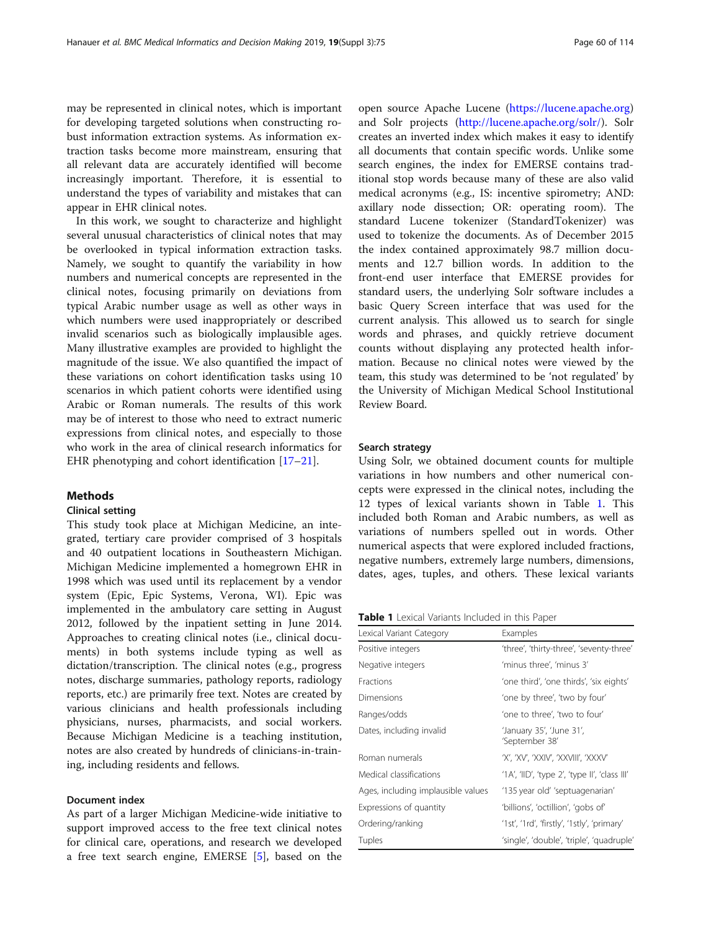may be represented in clinical notes, which is important for developing targeted solutions when constructing robust information extraction systems. As information extraction tasks become more mainstream, ensuring that all relevant data are accurately identified will become increasingly important. Therefore, it is essential to understand the types of variability and mistakes that can appear in EHR clinical notes.

In this work, we sought to characterize and highlight several unusual characteristics of clinical notes that may be overlooked in typical information extraction tasks. Namely, we sought to quantify the variability in how numbers and numerical concepts are represented in the clinical notes, focusing primarily on deviations from typical Arabic number usage as well as other ways in which numbers were used inappropriately or described invalid scenarios such as biologically implausible ages. Many illustrative examples are provided to highlight the magnitude of the issue. We also quantified the impact of these variations on cohort identification tasks using 10 scenarios in which patient cohorts were identified using Arabic or Roman numerals. The results of this work may be of interest to those who need to extract numeric expressions from clinical notes, and especially to those who work in the area of clinical research informatics for EHR phenotyping and cohort identification [\[17](#page-10-0)–[21\]](#page-10-0).

#### Methods

#### Clinical setting

This study took place at Michigan Medicine, an integrated, tertiary care provider comprised of 3 hospitals and 40 outpatient locations in Southeastern Michigan. Michigan Medicine implemented a homegrown EHR in 1998 which was used until its replacement by a vendor system (Epic, Epic Systems, Verona, WI). Epic was implemented in the ambulatory care setting in August 2012, followed by the inpatient setting in June 2014. Approaches to creating clinical notes (i.e., clinical documents) in both systems include typing as well as dictation/transcription. The clinical notes (e.g., progress notes, discharge summaries, pathology reports, radiology reports, etc.) are primarily free text. Notes are created by various clinicians and health professionals including physicians, nurses, pharmacists, and social workers. Because Michigan Medicine is a teaching institution, notes are also created by hundreds of clinicians-in-training, including residents and fellows.

### Document index

As part of a larger Michigan Medicine-wide initiative to support improved access to the free text clinical notes for clinical care, operations, and research we developed a free text search engine, EMERSE [\[5](#page-10-0)], based on the

open source Apache Lucene (<https://lucene.apache.org>) and Solr projects ([http://lucene.apache.org/solr/\)](http://lucene.apache.org/solr/). Solr creates an inverted index which makes it easy to identify all documents that contain specific words. Unlike some search engines, the index for EMERSE contains traditional stop words because many of these are also valid medical acronyms (e.g., IS: incentive spirometry; AND: axillary node dissection; OR: operating room). The standard Lucene tokenizer (StandardTokenizer) was used to tokenize the documents. As of December 2015 the index contained approximately 98.7 million documents and 12.7 billion words. In addition to the front-end user interface that EMERSE provides for standard users, the underlying Solr software includes a basic Query Screen interface that was used for the current analysis. This allowed us to search for single words and phrases, and quickly retrieve document counts without displaying any protected health information. Because no clinical notes were viewed by the team, this study was determined to be 'not regulated' by the University of Michigan Medical School Institutional Review Board.

#### Search strategy

Using Solr, we obtained document counts for multiple variations in how numbers and other numerical concepts were expressed in the clinical notes, including the 12 types of lexical variants shown in Table 1. This included both Roman and Arabic numbers, as well as variations of numbers spelled out in words. Other numerical aspects that were explored included fractions, negative numbers, extremely large numbers, dimensions, dates, ages, tuples, and others. These lexical variants

| Table 1 Lexical Variants Included in this Paper |  |
|-------------------------------------------------|--|
|-------------------------------------------------|--|

| Lexical Variant Category           | Examples                                      |
|------------------------------------|-----------------------------------------------|
| Positive integers                  | 'three', 'thirty-three', 'seventy-three'      |
| Negative integers                  | 'minus three', 'minus 3'                      |
| <b>Fractions</b>                   | 'one third', 'one thirds', 'six eights'       |
| Dimensions                         | 'one by three', 'two by four'                 |
| Ranges/odds                        | 'one to three', 'two to four'                 |
| Dates, including invalid           | 'January 35', 'June 31',<br>'September 38'    |
| Roman numerals                     | 'X', 'XV', 'XXIV', 'XXVIII', 'XXXV'           |
| Medical classifications            | '1A', 'IID', 'type 2', 'type II', 'class III' |
| Ages, including implausible values | '135 year old' 'septuagenarian'               |
| Expressions of quantity            | 'billions', 'octillion', 'gobs of'            |
| Ordering/ranking                   | '1st', '1rd', 'firstly', '1stly', 'primary'   |
| Tuples                             | 'single', 'double', 'triple', 'quadruple'     |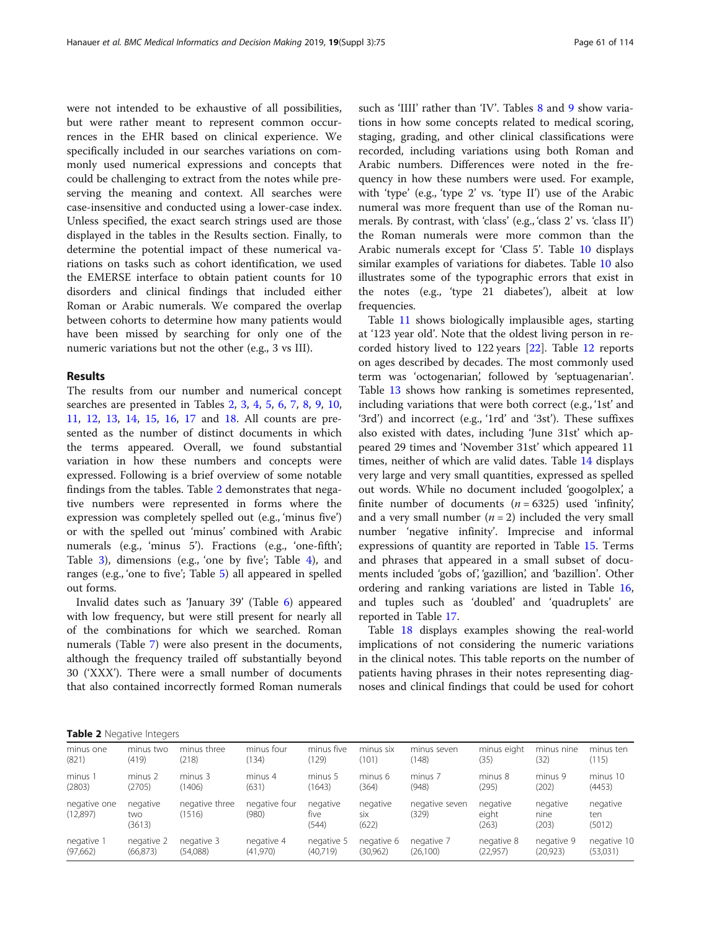were not intended to be exhaustive of all possibilities, but were rather meant to represent common occurrences in the EHR based on clinical experience. We specifically included in our searches variations on commonly used numerical expressions and concepts that could be challenging to extract from the notes while preserving the meaning and context. All searches were case-insensitive and conducted using a lower-case index. Unless specified, the exact search strings used are those displayed in the tables in the Results section. Finally, to determine the potential impact of these numerical variations on tasks such as cohort identification, we used the EMERSE interface to obtain patient counts for 10 disorders and clinical findings that included either Roman or Arabic numerals. We compared the overlap between cohorts to determine how many patients would have been missed by searching for only one of the numeric variations but not the other (e.g., 3 vs III).

#### Results

The results from our number and numerical concept searches are presented in Tables 2, [3,](#page-3-0) [4](#page-3-0), [5,](#page-4-0) [6](#page-4-0), [7,](#page-5-0) [8](#page-5-0), [9,](#page-5-0) [10](#page-6-0), [11,](#page-6-0) [12](#page-6-0), [13,](#page-7-0) [14,](#page-7-0) [15](#page-7-0), [16,](#page-8-0) [17](#page-8-0) and [18.](#page-9-0) All counts are presented as the number of distinct documents in which the terms appeared. Overall, we found substantial variation in how these numbers and concepts were expressed. Following is a brief overview of some notable findings from the tables. Table 2 demonstrates that negative numbers were represented in forms where the expression was completely spelled out (e.g., 'minus five') or with the spelled out 'minus' combined with Arabic numerals (e.g., 'minus 5'). Fractions (e.g., 'one-fifth'; Table [3\)](#page-3-0), dimensions (e.g., 'one by five'; Table [4](#page-3-0)), and ranges (e.g., 'one to five'; Table [5](#page-4-0)) all appeared in spelled out forms.

Invalid dates such as 'January 39' (Table [6](#page-4-0)) appeared with low frequency, but were still present for nearly all of the combinations for which we searched. Roman numerals (Table [7](#page-5-0)) were also present in the documents, although the frequency trailed off substantially beyond 30 ('XXX'). There were a small number of documents that also contained incorrectly formed Roman numerals such as 'IIII' rather than 'IV'. Tables [8](#page-5-0) and [9](#page-5-0) show variations in how some concepts related to medical scoring, staging, grading, and other clinical classifications were recorded, including variations using both Roman and Arabic numbers. Differences were noted in the frequency in how these numbers were used. For example, with 'type' (e.g., 'type 2' vs. 'type II') use of the Arabic numeral was more frequent than use of the Roman numerals. By contrast, with 'class' (e.g., 'class 2' vs. 'class II') the Roman numerals were more common than the Arabic numerals except for 'Class 5'. Table [10](#page-6-0) displays similar examples of variations for diabetes. Table [10](#page-6-0) also illustrates some of the typographic errors that exist in the notes (e.g., 'type 21 diabetes'), albeit at low frequencies.

Table [11](#page-6-0) shows biologically implausible ages, starting at '123 year old'. Note that the oldest living person in recorded history lived to 122 years [[22\]](#page-10-0). Table [12](#page-6-0) reports on ages described by decades. The most commonly used term was 'octogenarian', followed by 'septuagenarian'. Table [13](#page-7-0) shows how ranking is sometimes represented, including variations that were both correct (e.g., '1st' and '3rd') and incorrect (e.g., '1rd' and '3st'). These suffixes also existed with dates, including 'June 31st' which appeared 29 times and 'November 31st' which appeared 11 times, neither of which are valid dates. Table [14](#page-7-0) displays very large and very small quantities, expressed as spelled out words. While no document included 'googolplex', a finite number of documents  $(n = 6325)$  used 'infinity', and a very small number  $(n = 2)$  included the very small number 'negative infinity'. Imprecise and informal expressions of quantity are reported in Table [15](#page-7-0). Terms and phrases that appeared in a small subset of documents included 'gobs of', 'gazillion', and 'bazillion'. Other ordering and ranking variations are listed in Table [16](#page-8-0), and tuples such as 'doubled' and 'quadruplets' are reported in Table [17](#page-8-0).

Table [18](#page-9-0) displays examples showing the real-world implications of not considering the numeric variations in the clinical notes. This table reports on the number of patients having phrases in their notes representing diagnoses and clinical findings that could be used for cohort

Table 2 Negative Integers

| minus one                | minus two                 | minus three              | minus four             | minus five                | minus six                       | minus seven             | minus eight                | minus nine                | minus ten                 |
|--------------------------|---------------------------|--------------------------|------------------------|---------------------------|---------------------------------|-------------------------|----------------------------|---------------------------|---------------------------|
| (821)                    | (419)                     | (218)                    | (134)                  | (129)                     | (101)                           | (148)                   | (35)                       | (32)                      | (115)                     |
| minus 1                  | minus 2                   | minus 3                  | minus 4                | minus 5                   | minus 6                         | minus 7                 | minus 8                    | minus 9                   | minus 10                  |
| (2803)                   | (2705)                    | (1406)                   | (631)                  | (1643)                    | (364)                           | (948)                   | (295)                      | (202)                     | (4453)                    |
| negative one<br>(12,897) | negative<br>two<br>(3613) | negative three<br>(1516) | negative four<br>(980) | negative<br>five<br>(544) | negative<br><b>SİX</b><br>(622) | negative seven<br>(329) | negative<br>eight<br>(263) | negative<br>nine<br>(203) | negative<br>ten<br>(5012) |
| negative 1               | negative 2                | negative 3               | negative 4             | negative 5                | negative 6                      | negative 7              | negative 8                 | negative 9                | negative 10               |
| (97,662)                 | (66, 873)                 | (54,088)                 | (41, 970)              | (40,719)                  | (30,962)                        | (26,100)                | (22, 957)                  | (20, 923)                 | (53,031)                  |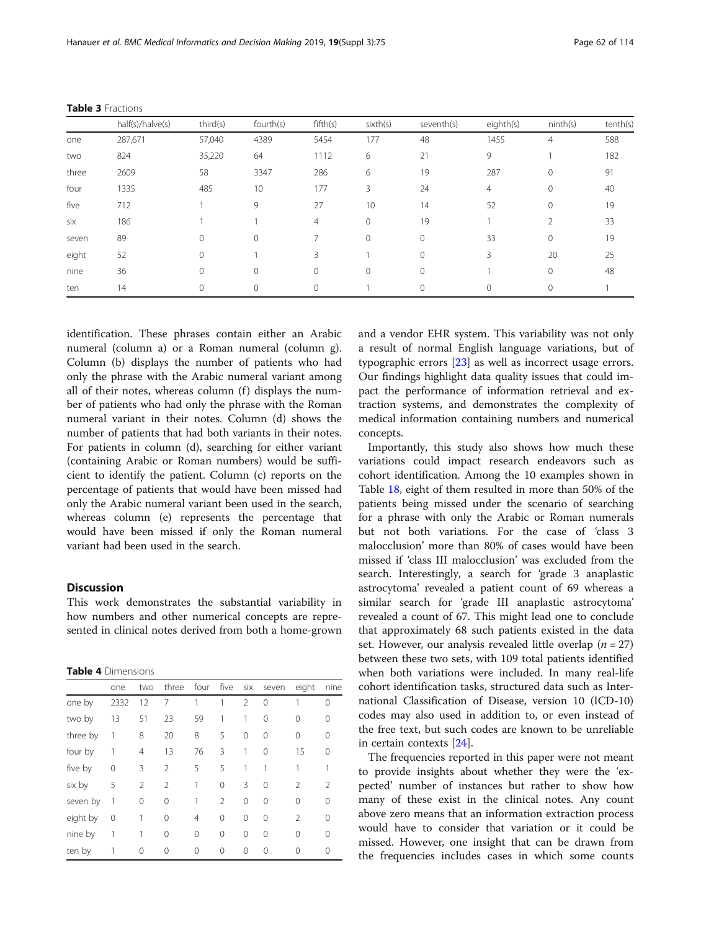identification. These phrases contain either an Arabic numeral (column a) or a Roman numeral (column g). Column (b) displays the number of patients who had only the phrase with the Arabic numeral variant among all of their notes, whereas column  $(f)$  displays the number of patients who had only the phrase with the Roman numeral variant in their notes. Column (d) shows the number of patients that had both variants in their notes. For patients in column (d), searching for either variant (containing Arabic or Roman numbers) would be sufficient to identify the patient. Column (c) reports on the percentage of patients that would have been missed had only the Arabic numeral variant been used in the search, whereas column (e) represents the percentage that would have been missed if only the Roman numeral variant had been used in the search.

#### Discussion

This work demonstrates the substantial variability in how numbers and other numerical concepts are represented in clinical notes derived from both a home-grown

| <b>Table 4</b> Dimensions |  |
|---------------------------|--|
|---------------------------|--|

| one by   |              |                | three          |    | four five | six      | seven    | eight          | nine          |
|----------|--------------|----------------|----------------|----|-----------|----------|----------|----------------|---------------|
|          | 2332         | 12             | 7              | 1  | 1         | 2        | 0        |                | ∩             |
| two by   | 13           | 51             | 23             | 59 | 1         | 1        | 0        | 0              | 0             |
| three by | 1            | 8              | 20             | 8  | 5         | 0        | 0        | 0              | 0             |
| four by  | 1            | $\overline{4}$ | 13             | 76 | 3         | 1        | $\Omega$ | 15             | 0             |
| five by  | 0            | 3              | $\mathfrak{D}$ | 5  | 5         | 1        |          | 1              |               |
| six by   | 5            | $\overline{2}$ | $\mathfrak{D}$ | 1  | 0         | 3        | 0        | $\mathfrak{D}$ | $\mathcal{P}$ |
| seven by | $\mathbf{1}$ | 0              | 0              | 1  | 2         | 0        | $\Omega$ | $\Omega$       | 0             |
| eight by | 0            | 1              | 0              | 4  | $\Omega$  | $\Omega$ | $\Omega$ | $\mathfrak{D}$ | ∩             |
| nine by  |              |                | 0              | 0  | 0         | $\Omega$ | $\Omega$ | 0              |               |
| ten by   |              | 0              | 0              | 0  | 0         | $\Omega$ | $\Omega$ | 0              | Ω             |

and a vendor EHR system. This variability was not only a result of normal English language variations, but of typographic errors [[23\]](#page-10-0) as well as incorrect usage errors. Our findings highlight data quality issues that could impact the performance of information retrieval and extraction systems, and demonstrates the complexity of medical information containing numbers and numerical concepts.

Importantly, this study also shows how much these variations could impact research endeavors such as cohort identification. Among the 10 examples shown in Table [18,](#page-9-0) eight of them resulted in more than 50% of the patients being missed under the scenario of searching for a phrase with only the Arabic or Roman numerals but not both variations. For the case of 'class 3 malocclusion' more than 80% of cases would have been missed if 'class III malocclusion' was excluded from the search. Interestingly, a search for 'grade 3 anaplastic astrocytoma' revealed a patient count of 69 whereas a similar search for 'grade III anaplastic astrocytoma' revealed a count of 67. This might lead one to conclude that approximately 68 such patients existed in the data set. However, our analysis revealed little overlap ( $n = 27$ ) between these two sets, with 109 total patients identified when both variations were included. In many real-life cohort identification tasks, structured data such as International Classification of Disease, version 10 (ICD-10) codes may also used in addition to, or even instead of the free text, but such codes are known to be unreliable in certain contexts [\[24\]](#page-10-0).

The frequencies reported in this paper were not meant to provide insights about whether they were the 'expected' number of instances but rather to show how many of these exist in the clinical notes. Any count above zero means that an information extraction process would have to consider that variation or it could be missed. However, one insight that can be drawn from the frequencies includes cases in which some counts

<span id="page-3-0"></span>

|  | Table 3 Fractions |
|--|-------------------|
|--|-------------------|

|       | half(s)/halve(s) | third(s) | fourth(s)    | fifth(s) | sixth(s) | seventh(s) | eighth(s) | ninth(s)       | tenth(s) |
|-------|------------------|----------|--------------|----------|----------|------------|-----------|----------------|----------|
| one   | 287,671          | 57,040   | 4389         | 5454     | 177      | 48         | 1455      | $\overline{4}$ | 588      |
| two   | 824              | 35,220   | 64           | 1112     | 6        | 21         | 9         |                | 182      |
| three | 2609             | 58       | 3347         | 286      | 6        | 19         | 287       | $\mathbf{0}$   | 91       |
| four  | 1335             | 485      | 10           | 177      | 3        | 24         | 4         | $\mathbf{0}$   | 40       |
| five  | 712              |          | 9            | 27       | 10       | 14         | 52        | $\mathbf{0}$   | 19       |
| six   | 186              |          |              | 4        | $\circ$  | 19         |           | 2              | 33       |
| seven | 89               | 0        | $\mathbf{0}$ |          | $\circ$  | 0          | 33        | $\mathbf{0}$   | 19       |
| eight | 52               | 0        |              | ζ        |          | $\Omega$   | 3         | 20             | 25       |
| nine  | 36               | 0        | $\mathbf{0}$ | 0        | 0        | 0          |           | $\mathbf{0}$   | 48       |
| ten   | 14               | 0        | 0            | 0        |          |            | $\Omega$  | $\mathbf{0}$   |          |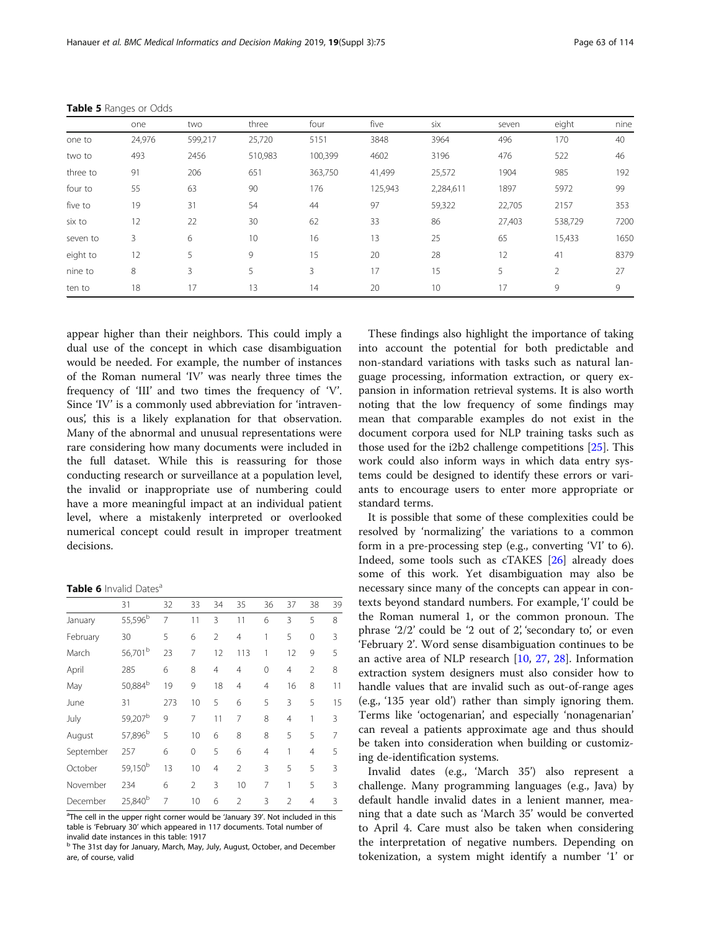|          | one    | two     | three   | four    | five    | six       | seven  | eight   | nine |
|----------|--------|---------|---------|---------|---------|-----------|--------|---------|------|
| one to   | 24,976 | 599,217 | 25,720  | 5151    | 3848    | 3964      | 496    | 170     | 40   |
| two to   | 493    | 2456    | 510,983 | 100,399 | 4602    | 3196      | 476    | 522     | 46   |
| three to | 91     | 206     | 651     | 363,750 | 41,499  | 25,572    | 1904   | 985     | 192  |
| four to  | 55     | 63      | 90      | 176     | 125,943 | 2,284,611 | 1897   | 5972    | 99   |
| five to  | 19     | 31      | 54      | 44      | 97      | 59,322    | 22,705 | 2157    | 353  |
| six to   | 12     | 22      | 30      | 62      | 33      | 86        | 27,403 | 538,729 | 7200 |
| seven to | 3      | 6       | 10      | 16      | 13      | 25        | 65     | 15,433  | 1650 |
| eight to | 12     | 5       | 9       | 15      | 20      | 28        | 12     | 41      | 8379 |
| nine to  | 8      | 3       | 5       | 3       | 17      | 15        | 5      | 2       | 27   |
| ten to   | 18     | 17      | 13      | 14      | 20      | 10        | 17     | 9       | 9    |

<span id="page-4-0"></span>Table 5 Ranges or Odds

appear higher than their neighbors. This could imply a dual use of the concept in which case disambiguation would be needed. For example, the number of instances of the Roman numeral 'IV' was nearly three times the frequency of 'III' and two times the frequency of 'V'. Since 'IV' is a commonly used abbreviation for 'intravenous', this is a likely explanation for that observation. Many of the abnormal and unusual representations were rare considering how many documents were included in the full dataset. While this is reassuring for those conducting research or surveillance at a population level, the invalid or inappropriate use of numbering could have a more meaningful impact at an individual patient level, where a mistakenly interpreted or overlooked numerical concept could result in improper treatment decisions.

Table 6 Invalid Dates<sup>a</sup>

|           | 31                  | 32  | 33             | 34             | 35             | 36             | 37             | 38             | 39 |
|-----------|---------------------|-----|----------------|----------------|----------------|----------------|----------------|----------------|----|
| January   | 55,596 <sup>b</sup> | 7   | 11             | 3              | 11             | 6              | 3              | 5              | 8  |
| February  | 30                  | 5   | 6              | $\overline{2}$ | 4              | 1              | 5              | $\mathbf 0$    | 3  |
| March     | 56,701 <sup>b</sup> | 23  | 7              | 12             | 113            | 1              | 12             | 9              | 5  |
| April     | 285                 | 6   | 8              | 4              | $\overline{4}$ | 0              | $\overline{4}$ | 2              | 8  |
| May       | 50,884 <sup>b</sup> | 19  | 9              | 18             | $\overline{4}$ | 4              | 16             | 8              | 11 |
| June      | 31                  | 273 | 10             | 5              | 6              | 5              | 3              | 5              | 15 |
| July      | 59,207 <sup>b</sup> | 9   | 7              | 11             | 7              | 8              | $\overline{4}$ | 1              | 3  |
| August    | 57,896 <sup>b</sup> | 5   | 10             | 6              | 8              | 8              | 5              | 5              | 7  |
| September | 257                 | 6   | 0              | 5              | 6              | $\overline{4}$ | 1              | $\overline{4}$ | 5  |
| October   | 59,150 <sup>b</sup> | 13  | 10             | $\overline{4}$ | $\mathfrak{D}$ | 3              | 5              | 5              | 3  |
| November  | 234                 | 6   | $\mathfrak{D}$ | 3              | 10             | 7              | 1              | 5              | 3  |
| December  | 25,840 <sup>b</sup> | 7   | 10             | 6              | $\overline{2}$ | 3              | $\overline{2}$ | $\overline{4}$ | 3  |

<sup>a</sup>The cell in the upper right corner would be 'January 39'. Not included in this table is 'February 30' which appeared in 117 documents. Total number of invalid date instances in this table: 1917

These findings also highlight the importance of taking into account the potential for both predictable and non-standard variations with tasks such as natural language processing, information extraction, or query expansion in information retrieval systems. It is also worth noting that the low frequency of some findings may mean that comparable examples do not exist in the document corpora used for NLP training tasks such as those used for the i2b2 challenge competitions [\[25](#page-10-0)]. This work could also inform ways in which data entry systems could be designed to identify these errors or variants to encourage users to enter more appropriate or standard terms.

It is possible that some of these complexities could be resolved by 'normalizing' the variations to a common form in a pre-processing step (e.g., converting 'VI' to 6). Indeed, some tools such as cTAKES [[26](#page-10-0)] already does some of this work. Yet disambiguation may also be necessary since many of the concepts can appear in contexts beyond standard numbers. For example, 'I' could be the Roman numeral 1, or the common pronoun. The phrase '2/2' could be '2 out of 2', 'secondary to', or even 'February 2'. Word sense disambiguation continues to be an active area of NLP research [[10,](#page-10-0) [27](#page-10-0), [28\]](#page-10-0). Information extraction system designers must also consider how to handle values that are invalid such as out-of-range ages (e.g., '135 year old') rather than simply ignoring them. Terms like 'octogenarian', and especially 'nonagenarian' can reveal a patients approximate age and thus should be taken into consideration when building or customizing de-identification systems.

Invalid dates (e.g., 'March 35') also represent a challenge. Many programming languages (e.g., Java) by default handle invalid dates in a lenient manner, meaning that a date such as 'March 35' would be converted to April 4. Care must also be taken when considering the interpretation of negative numbers. Depending on tokenization, a system might identify a number '1' or

<sup>b</sup> The 31st day for January, March, May, July, August, October, and December are, of course, valid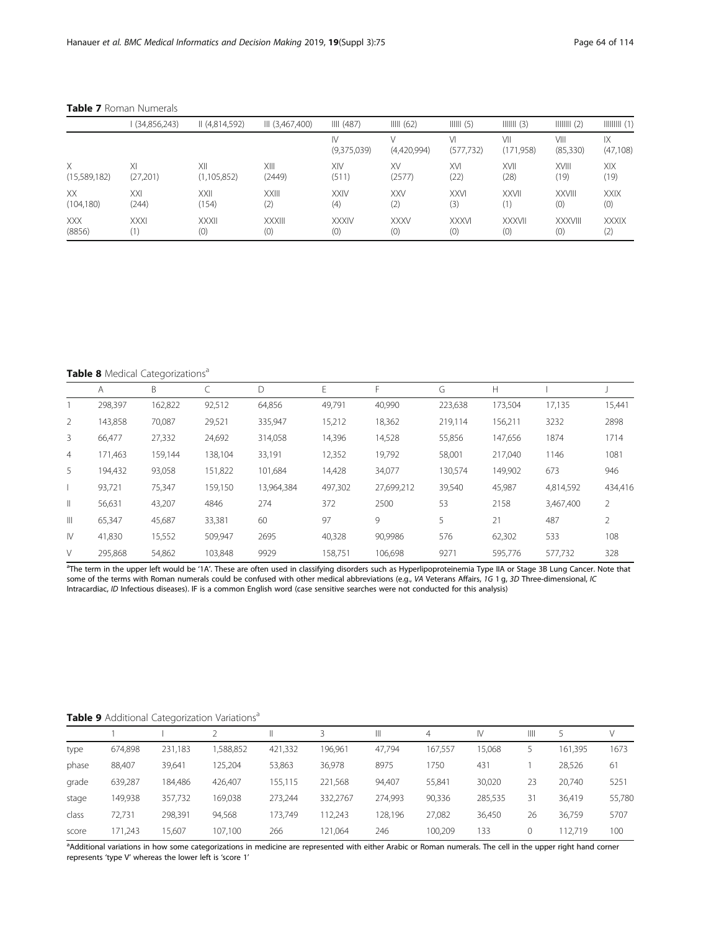|              | (34,856,243) | II (4,814,592) | III (3,467,400) | III (487)         | IIII (62)   | IIIII(5)         | $IIIIII (3)$     | $\parallel \parallel \parallel \parallel (2)$ |                 |
|--------------|--------------|----------------|-----------------|-------------------|-------------|------------------|------------------|-----------------------------------------------|-----------------|
|              |              |                |                 | IV<br>(9,375,039) | (4,420,994) | V١<br>(577, 732) | VII<br>(171,958) | VIII<br>(85,330)                              | IX<br>(47, 108) |
| X            | ΧI           | XII            | XIII            | XIV               | XV          | XVI              | XVII             | <b>XVIII</b>                                  | XIX             |
| (15,589,182) | (27,201)     | (1, 105, 852)  | (2449)          | (511)             | (2577)      | (22)             | (28)             | (19)                                          | (19)            |
| XX           | XXI          | XXII           | <b>XXIII</b>    | <b>XXIV</b>       | <b>XXV</b>  | <b>XXVI</b>      | <b>XXVII</b>     | <b>XXVIII</b>                                 | <b>XXIX</b>     |
| (104, 180)   | (244)        | (154)          | (2)             | (4)               | (2)         | (3)              | (1)              | (0)                                           | (0)             |
| <b>XXX</b>   | <b>XXXI</b>  | <b>XXXII</b>   | <b>XXXIII</b>   | <b>XXXIV</b>      | <b>XXXV</b> | <b>XXXVI</b>     | <b>XXXVII</b>    | <b>XXXVIII</b>                                | <b>XXXIX</b>    |
| (8856)       | (1)          | (0)            | (0)             | (0)               | (0)         | (0)              | (0)              | (0)                                           | (2)             |

<span id="page-5-0"></span>Table 7 Roman Numerals

Table 8 Medical Categorizations<sup>a</sup>

|                | A       | B       |         |            |         |            | G       | H       |           |                |
|----------------|---------|---------|---------|------------|---------|------------|---------|---------|-----------|----------------|
|                | 298,397 | 162,822 | 92,512  | 64,856     | 49,791  | 40,990     | 223,638 | 173,504 | 17,135    | 15,441         |
| 2              | 143,858 | 70,087  | 29,521  | 335,947    | 15,212  | 18,362     | 219,114 | 156,211 | 3232      | 2898           |
| 3              | 66,477  | 27,332  | 24,692  | 314,058    | 14,396  | 14,528     | 55,856  | 147,656 | 1874      | 1714           |
| $\overline{4}$ | 171,463 | 159,144 | 138,104 | 33,191     | 12,352  | 19,792     | 58,001  | 217,040 | 1146      | 1081           |
| 5              | 194,432 | 93,058  | 151,822 | 101,684    | 14,428  | 34,077     | 130,574 | 149,902 | 673       | 946            |
|                | 93,721  | 75,347  | 159,150 | 13.964.384 | 497,302 | 27,699,212 | 39,540  | 45,987  | 4,814,592 | 434,416        |
| $\mathbb{I}$   | 56,631  | 43,207  | 4846    | 274        | 372     | 2500       | 53      | 2158    | 3,467,400 | $\overline{2}$ |
| $\mathbb{H}$   | 65,347  | 45,687  | 33,381  | 60         | 97      | 9          | 5       | 21      | 487       | $\mathfrak{D}$ |
| IV             | 41,830  | 15,552  | 509,947 | 2695       | 40,328  | 90,9986    | 576     | 62,302  | 533       | 108            |
| V              | 295,868 | 54,862  | 103,848 | 9929       | 158,751 | 106,698    | 9271    | 595,776 | 577.732   | 328            |
|                |         |         |         |            |         |            |         |         |           |                |

<sup>a</sup>The term in the upper left would be '1A'. These are often used in classifying disorders such as Hyperlipoproteinemia Type IIA or Stage 3B Lung Cancer. Note that some of the terms with Roman numerals could be confused with other medical abbreviations (e.g., VA Veterans Affairs, 1G 1 g, 3D Three-dimensional, IC Intracardiac, ID Infectious diseases). IF is a common English word (case sensitive searches were not conducted for this analysis)

## Table 9 Additional Categorization Variations<sup>a</sup>

|       |         |         |           |         |          | Ш       | 4       | IV      | Ш  |         |        |
|-------|---------|---------|-----------|---------|----------|---------|---------|---------|----|---------|--------|
| type  | 674,898 | 231,183 | 1,588,852 | 421,332 | 196,961  | 47,794  | 167,557 | 15,068  |    | 161,395 | 1673   |
| phase | 88,407  | 39,641  | 125,204   | 53,863  | 36,978   | 8975    | 750     | 431     |    | 28,526  | 61     |
| grade | 639,287 | 184.486 | 426,407   | 155.115 | 221.568  | 94.407  | 55.841  | 30.020  | 23 | 20.740  | 5251   |
| stage | 149,938 | 357,732 | 169.038   | 273,244 | 332.2767 | 274,993 | 90,336  | 285,535 | 31 | 36.419  | 55,780 |
| class | 72,731  | 298,391 | 94,568    | 173.749 | 112,243  | 128,196 | 27,082  | 36,450  | 26 | 36,759  | 5707   |
| score | 171,243 | 15.607  | 107,100   | 266     | 121,064  | 246     | 100,209 | 133     | 0  | 112.719 | 100    |

<sup>a</sup>Additional variations in how some categorizations in medicine are represented with either Arabic or Roman numerals. The cell in the upper right hand corner represents 'type V' whereas the lower left is 'score 1'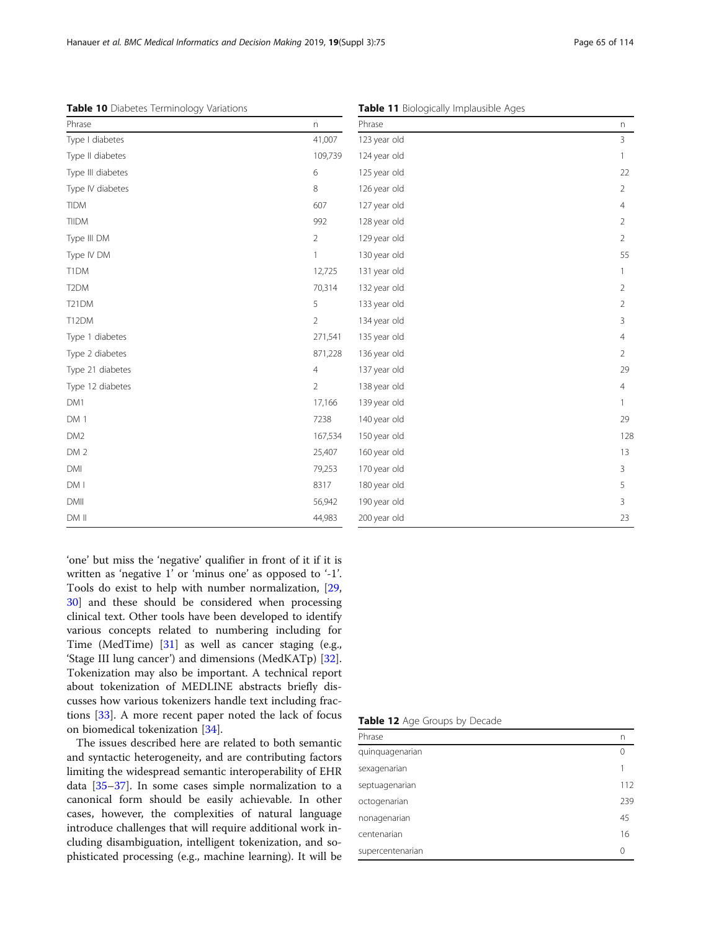|  |  |  |  |  | Table 10 Diabetes Terminology Variations |
|--|--|--|--|--|------------------------------------------|
|--|--|--|--|--|------------------------------------------|

<span id="page-6-0"></span>

| Table 10 Diabetes Terminology Variations |                | Table 11 Biologically Implausible Ages |                |  |
|------------------------------------------|----------------|----------------------------------------|----------------|--|
| Phrase                                   | n.             | Phrase                                 | n              |  |
| Type I diabetes                          | 41,007         | 123 year old                           | 3              |  |
| Type II diabetes                         | 109,739        | 124 year old                           | -1             |  |
| Type III diabetes                        | 6              | 125 year old                           | 22             |  |
| Type IV diabetes                         | 8              | 126 year old                           | $\overline{2}$ |  |
| <b>TIDM</b>                              | 607            | 127 year old                           | 4              |  |
| <b>TIIDM</b>                             | 992            | 128 year old                           | 2              |  |
| Type III DM                              | 2              | 129 year old                           | 2              |  |
| Type IV DM                               |                | 130 year old                           | 55             |  |
| T1DM                                     | 12,725         | 131 year old                           |                |  |
| T <sub>2</sub> DM                        | 70,314         | 132 year old                           | 2              |  |
| <b>T21DM</b>                             | 5              | 133 year old                           | 2              |  |
| T12DM                                    | 2              | 134 year old                           | 3              |  |
| Type 1 diabetes                          | 271,541        | 135 year old                           | 4              |  |
| Type 2 diabetes                          | 871,228        | 136 year old                           | 2              |  |
| Type 21 diabetes                         | $\overline{4}$ | 137 year old                           | 29             |  |
| Type 12 diabetes                         | $\overline{2}$ | 138 year old                           | $\overline{4}$ |  |
| DM1                                      | 17,166         | 139 year old                           |                |  |
| DM 1                                     | 7238           | 140 year old                           | 29             |  |
| DM <sub>2</sub>                          | 167,534        | 150 year old                           | 128            |  |
| DM <sub>2</sub>                          | 25,407         | 160 year old                           | 13             |  |
| DMI                                      | 79,253         | 170 year old                           | 3              |  |
| DM I                                     | 8317           | 180 year old                           | 5              |  |
| <b>DMII</b>                              | 56,942         | 190 year old                           | 3              |  |

'one' but miss the 'negative' qualifier in front of it if it is written as 'negative 1' or 'minus one' as opposed to '-1'. Tools do exist to help with number normalization, [[29](#page-10-0), [30\]](#page-10-0) and these should be considered when processing clinical text. Other tools have been developed to identify various concepts related to numbering including for Time (MedTime) [[31\]](#page-10-0) as well as cancer staging (e.g., 'Stage III lung cancer') and dimensions (MedKATp) [\[32](#page-10-0)]. Tokenization may also be important. A technical report about tokenization of MEDLINE abstracts briefly discusses how various tokenizers handle text including fractions [[33](#page-10-0)]. A more recent paper noted the lack of focus on biomedical tokenization [\[34](#page-10-0)].

DM II 44,983

The issues described here are related to both semantic and syntactic heterogeneity, and are contributing factors limiting the widespread semantic interoperability of EHR data [\[35](#page-10-0)–[37\]](#page-10-0). In some cases simple normalization to a canonical form should be easily achievable. In other cases, however, the complexities of natural language introduce challenges that will require additional work including disambiguation, intelligent tokenization, and sophisticated processing (e.g., machine learning). It will be

### Table 12 Age Groups by Decade

| Phrase           | n        |
|------------------|----------|
| quinquagenarian  | $\Omega$ |
| sexagenarian     |          |
| septuagenarian   | 112      |
| octogenarian     | 239      |
| nonagenarian     | 45       |
| centenarian      | 16       |
| supercentenarian | 0        |

200 year old 23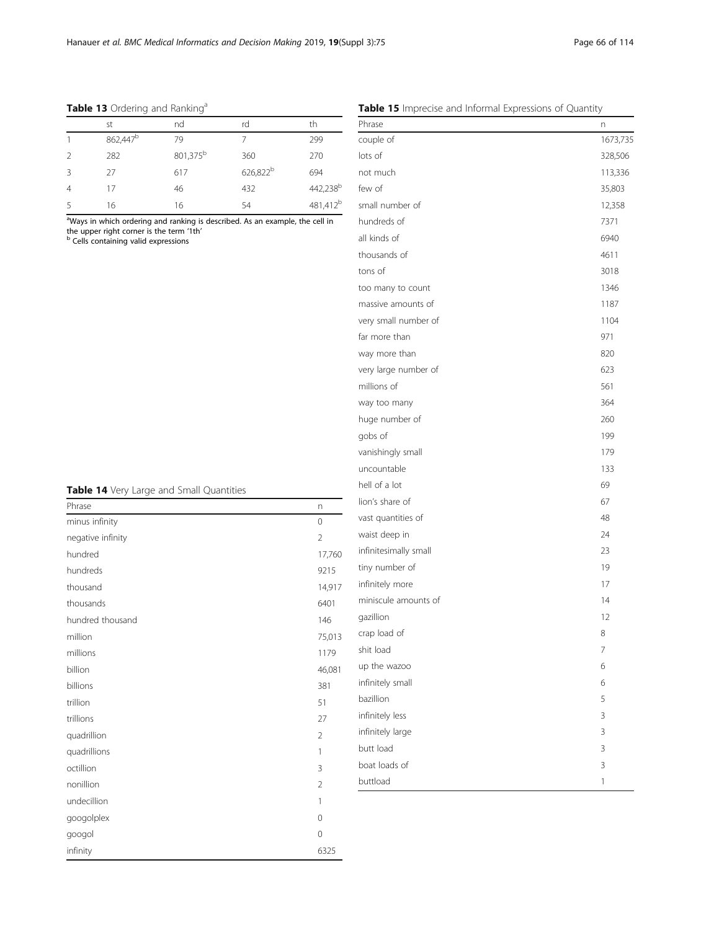<span id="page-7-0"></span>

| Table 13 Ordering and Ranking <sup>a</sup> |
|--------------------------------------------|
|--------------------------------------------|

| st                   | nd                   | rd                   | th                   |
|----------------------|----------------------|----------------------|----------------------|
| 862,447 <sup>b</sup> | 79                   |                      | 299                  |
| 282                  | 801,375 <sup>b</sup> | 360                  | 270                  |
| 27                   | 617                  | 626,822 <sup>b</sup> | 694                  |
| 17                   | 46                   | 432                  | 442,238 <sup>b</sup> |
| 16                   | 16                   | 54                   | 481,412 <sup>b</sup> |
|                      |                      |                      |                      |

<sup>a</sup>Ways in which ordering and ranking is described. As an example, the cell in the upper right corner is the term '1th'<br><sup>b</sup> Cells containing valid expressions

| n              |
|----------------|
| $\mathbf 0$    |
| $\overline{2}$ |
| 17,760         |
| 9215           |
| 14,917         |
| 6401           |
| 146            |
| 75,013         |
| 1179           |
| 46,081         |
| 381            |
| 51             |
| 27             |
| $\overline{2}$ |
| 1              |
| 3              |
| $\overline{2}$ |
| 1              |
| $\mathbf 0$    |
| $\mathbf 0$    |
| 6325           |
|                |

| Table 15 Imprecise and Informal Expressions of Quantity |
|---------------------------------------------------------|
|---------------------------------------------------------|

| Phrase                | n        |
|-----------------------|----------|
| couple of             | 1673,735 |
| lots of               | 328,506  |
| not much              | 113,336  |
| few of                | 35,803   |
| small number of       | 12,358   |
| hundreds of           | 7371     |
| all kinds of          | 6940     |
| thousands of          | 4611     |
| tons of               | 3018     |
| too many to count     | 1346     |
| massive amounts of    | 1187     |
| very small number of  | 1104     |
| far more than         | 971      |
| way more than         | 820      |
| very large number of  | 623      |
| millions of           | 561      |
| way too many          | 364      |
| huge number of        | 260      |
| gobs of               | 199      |
| vanishingly small     | 179      |
| uncountable           | 133      |
| hell of a lot         | 69       |
| lion's share of       | 67       |
| vast quantities of    | 48       |
| waist deep in         | 24       |
| infinitesimally small | 23       |
| tiny number of        | 19       |
| infinitely more       | 17       |
| miniscule amounts of  | 14       |
| gazillion             | 12       |
| crap load of          | 8        |
| shit load             | 7        |
| up the wazoo          | 6        |
| infinitely small      | 6        |
| bazillion             | 5        |
| infinitely less       | 3        |
| infinitely large      | 3        |
| butt load             | 3        |
| boat loads of         | 3        |
| buttload              | 1        |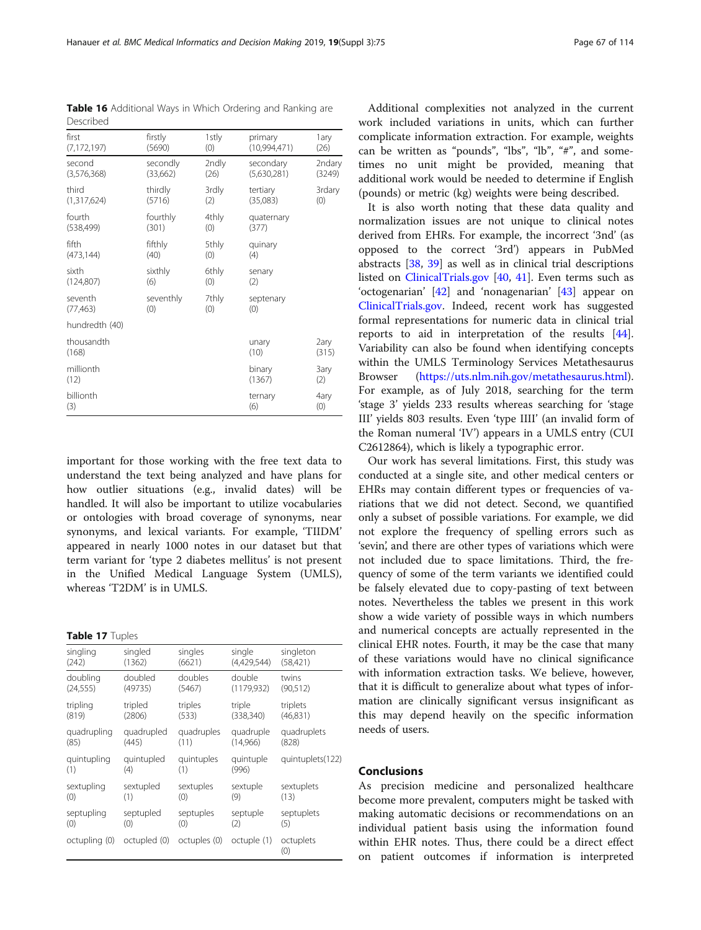important for those working with the free text data to understand the text being analyzed and have plans for how outlier situations (e.g., invalid dates) will be handled. It will also be important to utilize vocabularies or ontologies with broad coverage of synonyms, near synonyms, and lexical variants. For example, 'TIIDM' appeared in nearly 1000 notes in our dataset but that term variant for 'type 2 diabetes mellitus' is not present in the Unified Medical Language System (UMLS), whereas 'T2DM' is in UMLS.

#### Table 17 Tuples

seventh (77,463)

millionth  $(12)$ 

billionth (3)

hundredth (40) thousandth (168)

| singling      | singled      | singles      | single      | singleton        |
|---------------|--------------|--------------|-------------|------------------|
| (242)         | (1362)       | (6621)       | (4,429,544) | (58, 421)        |
| doubling      | doubled      | doubles      | double      | twins            |
| (24, 555)     | (49735)      | (5467)       | (1179, 932) | (90, 512)        |
| tripling      | tripled      | triples      | triple      | triplets         |
| (819)         | (2806)       | (533)        | (338, 340)  | (46,831)         |
| quadrupling   | quadrupled   | quadruples   | quadruple   | quadruplets      |
| (85)          | (445)        | (11)         | (14,966)    | (828)            |
| quintupling   | quintupled   | quintuples   | quintuple   | quintuplets(122) |
| (1)           | (4)          | (1)          | (996)       |                  |
| sextupling    | sextupled    | sextuples    | sextuple    | sextuplets       |
| (0)           | (1)          | (0)          | (9)         | (13)             |
| septupling    | septupled    | septuples    | septuple    | septuplets       |
| (0)           | (0)          | (0)          | (2)         | (5)              |
| octupling (0) | octupled (0) | octuples (0) | octuple (1) | octuplets<br>(0) |

Additional complexities not analyzed in the current work included variations in units, which can further complicate information extraction. For example, weights can be written as "pounds", "lbs", "lb", "#", and sometimes no unit might be provided, meaning that additional work would be needed to determine if English (pounds) or metric (kg) weights were being described.

It is also worth noting that these data quality and normalization issues are not unique to clinical notes derived from EHRs. For example, the incorrect '3nd' (as opposed to the correct '3rd') appears in PubMed abstracts [[38,](#page-10-0) [39](#page-10-0)] as well as in clinical trial descriptions listed on [ClinicalTrials.gov](http://clinicaltrials.gov) [[40](#page-10-0), [41](#page-10-0)]. Even terms such as 'octogenarian' [[42\]](#page-10-0) and 'nonagenarian' [[43\]](#page-10-0) appear on [ClinicalTrials.gov.](http://clinicaltrials.gov) Indeed, recent work has suggested formal representations for numeric data in clinical trial reports to aid in interpretation of the results [\[44](#page-10-0)]. Variability can also be found when identifying concepts within the UMLS Terminology Services Metathesaurus Browser [\(https://uts.nlm.nih.gov/metathesaurus.html](https://uts.nlm.nih.gov/metathesaurus.html)). For example, as of July 2018, searching for the term 'stage 3' yields 233 results whereas searching for 'stage III' yields 803 results. Even 'type IIII' (an invalid form of the Roman numeral 'IV') appears in a UMLS entry (CUI C2612864), which is likely a typographic error.

Our work has several limitations. First, this study was conducted at a single site, and other medical centers or EHRs may contain different types or frequencies of variations that we did not detect. Second, we quantified only a subset of possible variations. For example, we did not explore the frequency of spelling errors such as 'sevin', and there are other types of variations which were not included due to space limitations. Third, the frequency of some of the term variants we identified could be falsely elevated due to copy-pasting of text between notes. Nevertheless the tables we present in this work show a wide variety of possible ways in which numbers and numerical concepts are actually represented in the clinical EHR notes. Fourth, it may be the case that many of these variations would have no clinical significance with information extraction tasks. We believe, however, that it is difficult to generalize about what types of information are clinically significant versus insignificant as this may depend heavily on the specific information needs of users.

#### Conclusions

As precision medicine and personalized healthcare become more prevalent, computers might be tasked with making automatic decisions or recommendations on an individual patient basis using the information found within EHR notes. Thus, there could be a direct effect on patient outcomes if information is interpreted

<span id="page-8-0"></span>

| <b>Table 16</b> Additional Ways in Which Ordering and Ranking are<br>Described |          |       |              |        |  |  |
|--------------------------------------------------------------------------------|----------|-------|--------------|--------|--|--|
| first                                                                          | firstly  | 1stly | primary      | 1ary   |  |  |
| (7, 172, 197)                                                                  | (5690)   | (0)   | (10.994.471) | (26)   |  |  |
| second                                                                         | secondly | 2ndly | secondary    | 2ndary |  |  |
| (3,576,368)                                                                    | (33,662) | (26)  | (5,630,281)  | (3249) |  |  |
| third                                                                          | thirdly  | 3rdly | tertiary     | 3rdary |  |  |
| (1,317,624)                                                                    | (5716)   | (2)   | (35,083)     | (0)    |  |  |
| fourth                                                                         | fourthly | 4thly | quaternary   |        |  |  |
| (538, 499)                                                                     | (301)    | (0)   | (377)        |        |  |  |
| fifth                                                                          | fifthly  | 5thly | quinary      |        |  |  |
| (473, 144)                                                                     | (40)     | (0)   | (4)          |        |  |  |
| sixth                                                                          | sixthly  | 6thly | senary       |        |  |  |
| (124, 807)                                                                     | (6)      | (O)   | (2)          |        |  |  |

7thly (0)

septenary (0)

unary (10)

binary (1367)

ternary (6)

2ary (315)

3ary (2)

4ary (0)

seventhly (0)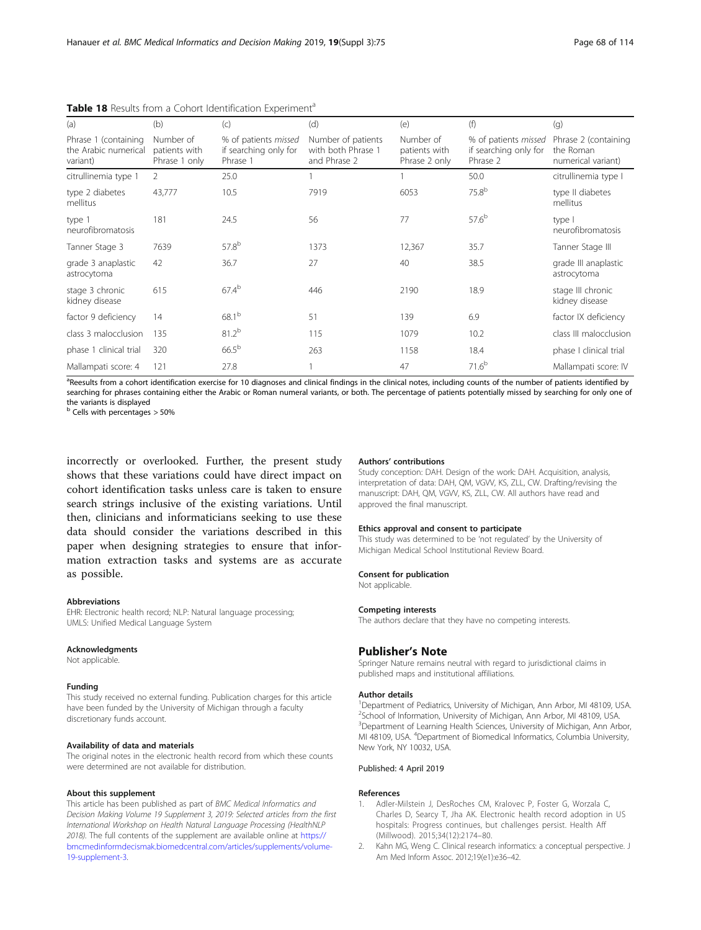| (a)                                                      | (b)                                         | (c)                                                       | (d)                                                      | (e)                                         | (f)                                                       | (g)                                                     |
|----------------------------------------------------------|---------------------------------------------|-----------------------------------------------------------|----------------------------------------------------------|---------------------------------------------|-----------------------------------------------------------|---------------------------------------------------------|
| Phrase 1 (containing<br>the Arabic numerical<br>variant) | Number of<br>patients with<br>Phrase 1 only | % of patients missed<br>if searching only for<br>Phrase 1 | Number of patients<br>with both Phrase 1<br>and Phrase 2 | Number of<br>patients with<br>Phrase 2 only | % of patients missed<br>if searching only for<br>Phrase 2 | Phrase 2 (containing<br>the Roman<br>numerical variant) |
| citrullinemia type 1                                     | 2                                           | 25.0                                                      |                                                          |                                             | 50.0                                                      | citrullinemia type I                                    |
| type 2 diabetes<br>mellitus                              | 43,777                                      | 10.5                                                      | 7919                                                     | 6053                                        | $75.8^{b}$                                                | type II diabetes<br>mellitus                            |
| type 1<br>neurofibromatosis                              | 181                                         | 24.5                                                      | 56                                                       | 77                                          | $57.6^{b}$                                                | type I<br>neurofibromatosis                             |
| Tanner Stage 3                                           | 7639                                        | 57.8 <sup>b</sup>                                         | 1373                                                     | 12,367                                      | 35.7                                                      | Tanner Stage III                                        |
| grade 3 anaplastic<br>astrocytoma                        | 42                                          | 36.7                                                      | 27                                                       | 40                                          | 38.5                                                      | grade III anaplastic<br>astrocytoma                     |
| stage 3 chronic<br>kidney disease                        | 615                                         | $67.4^{b}$                                                | 446                                                      | 2190                                        | 18.9                                                      | stage III chronic<br>kidney disease                     |
| factor 9 deficiency                                      | 14                                          | $68.1^{b}$                                                | 51                                                       | 139                                         | 6.9                                                       | factor IX deficiency                                    |
| class 3 malocclusion                                     | 135                                         | $81.2^{b}$                                                | 115                                                      | 1079                                        | 10.2                                                      | class III malocclusion                                  |
| phase 1 clinical trial                                   | 320                                         | $66.5^{b}$                                                | 263                                                      | 1158                                        | 18.4                                                      | phase I clinical trial                                  |
| Mallampati score: 4                                      | 121                                         | 27.8                                                      |                                                          | 47                                          | $71.6^{b}$                                                | Mallampati score: IV                                    |

<span id="page-9-0"></span>Table 18 Results from a Cohort Identification Experiment<sup>a</sup>

<sup>a</sup>Reesults from a cohort identification exercise for 10 diagnoses and clinical findings in the clinical notes, including counts of the number of patients identified by searching for phrases containing either the Arabic or Roman numeral variants, or both. The percentage of patients potentially missed by searching for only one of the variants is displayed

 $<sup>b</sup>$  Cells with percentages  $>$  50%</sup>

incorrectly or overlooked. Further, the present study shows that these variations could have direct impact on cohort identification tasks unless care is taken to ensure search strings inclusive of the existing variations. Until then, clinicians and informaticians seeking to use these data should consider the variations described in this paper when designing strategies to ensure that information extraction tasks and systems are as accurate as possible.

#### Abbreviations

EHR: Electronic health record; NLP: Natural language processing; UMLS: Unified Medical Language System

#### Acknowledgments

Not applicable.

#### Funding

This study received no external funding. Publication charges for this article have been funded by the University of Michigan through a faculty discretionary funds account.

#### Availability of data and materials

The original notes in the electronic health record from which these counts were determined are not available for distribution.

#### About this supplement

This article has been published as part of BMC Medical Informatics and Decision Making Volume 19 Supplement 3, 2019: Selected articles from the first International Workshop on Health Natural Language Processing (HealthNLP 2018). The full contents of the supplement are available online at [https://](https://bmcmedinformdecismak.biomedcentral.com/articles/supplements/volume-19-supplement-3) [bmcmedinformdecismak.biomedcentral.com/articles/supplements/volume-](https://bmcmedinformdecismak.biomedcentral.com/articles/supplements/volume-19-supplement-3)[19-supplement-3.](https://bmcmedinformdecismak.biomedcentral.com/articles/supplements/volume-19-supplement-3)

#### Authors' contributions

Study conception: DAH. Design of the work: DAH. Acquisition, analysis, interpretation of data: DAH, QM, VGVV, KS, ZLL, CW. Drafting/revising the manuscript: DAH, QM, VGVV, KS, ZLL, CW. All authors have read and approved the final manuscript.

#### Ethics approval and consent to participate

This study was determined to be 'not regulated' by the University of Michigan Medical School Institutional Review Board.

#### Consent for publication

Not applicable.

#### Competing interests

The authors declare that they have no competing interests.

#### Publisher's Note

Springer Nature remains neutral with regard to jurisdictional claims in published maps and institutional affiliations.

#### Author details

<sup>1</sup>Department of Pediatrics, University of Michigan, Ann Arbor, MI 48109, USA <sup>2</sup>School of Information, University of Michigan, Ann Arbor, MI 48109, USA. <sup>3</sup>Department of Learning Health Sciences, University of Michigan, Ann Arbor MI 48109, USA. <sup>4</sup>Department of Biomedical Informatics, Columbia University New York, NY 10032, USA.

#### Published: 4 April 2019

#### References

- Adler-Milstein J, DesRoches CM, Kralovec P, Foster G, Worzala C, Charles D, Searcy T, Jha AK. Electronic health record adoption in US hospitals: Progress continues, but challenges persist. Health Aff (Millwood). 2015;34(12):2174–80.
- 2. Kahn MG, Weng C. Clinical research informatics: a conceptual perspective. J Am Med Inform Assoc. 2012;19(e1):e36–42.